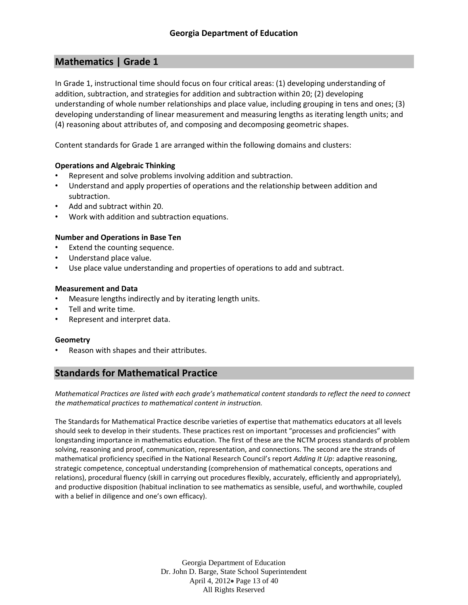# **Mathematics | Grade 1**

In Grade 1, instructional time should focus on four critical areas: (1) developing understanding of addition, subtraction, and strategies for addition and subtraction within 20; (2) developing understanding of whole number relationships and place value, including grouping in tens and ones; (3) developing understanding of linear measurement and measuring lengths as iterating length units; and (4) reasoning about attributes of, and composing and decomposing geometric shapes.

Content standards for Grade 1 are arranged within the following domains and clusters:

## **Operations and Algebraic Thinking**

- Represent and solve problems involving addition and subtraction.
- Understand and apply properties of operations and the relationship between addition and subtraction.
- Add and subtract within 20.
- Work with addition and subtraction equations.

## **Number and Operations in Base Ten**

- Extend the counting sequence.
- Understand place value.
- Use place value understanding and properties of operations to add and subtract.

## **Measurement and Data**

- Measure lengths indirectly and by iterating length units.
- Tell and write time.
- Represent and interpret data.

## **Geometry**

• Reason with shapes and their attributes.

## **Standards for Mathematical Practice**

*Mathematical Practices are listed with each grade's mathematical content standards to reflect the need to connect the mathematical practices to mathematical content in instruction.*

The Standards for Mathematical Practice describe varieties of expertise that mathematics educators at all levels should seek to develop in their students. These practices rest on important "processes and proficiencies" with longstanding importance in mathematics education. The first of these are the NCTM process standards of problem solving, reasoning and proof, communication, representation, and connections. The second are the strands of mathematical proficiency specified in the National Research Council's report *Adding It Up*: adaptive reasoning, strategic competence, conceptual understanding (comprehension of mathematical concepts, operations and relations), procedural fluency (skill in carrying out procedures flexibly, accurately, efficiently and appropriately), and productive disposition (habitual inclination to see mathematics as sensible, useful, and worthwhile, coupled with a belief in diligence and one's own efficacy).

> Georgia Department of Education Dr. John D. Barge, State School Superintendent April 4, 2012 Page 13 of 40 All Rights Reserved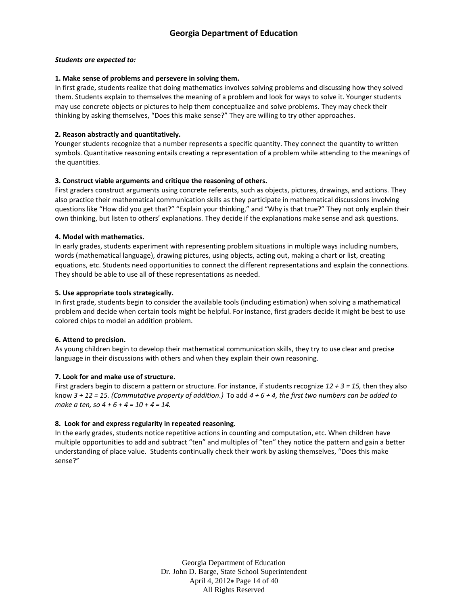#### *Students are expected to:*

#### **1. Make sense of problems and persevere in solving them.**

In first grade, students realize that doing mathematics involves solving problems and discussing how they solved them. Students explain to themselves the meaning of a problem and look for ways to solve it. Younger students may use concrete objects or pictures to help them conceptualize and solve problems. They may check their thinking by asking themselves, "Does this make sense?" They are willing to try other approaches.

#### **2. Reason abstractly and quantitatively.**

Younger students recognize that a number represents a specific quantity. They connect the quantity to written symbols. Quantitative reasoning entails creating a representation of a problem while attending to the meanings of the quantities.

#### **3. Construct viable arguments and critique the reasoning of others.**

First graders construct arguments using concrete referents, such as objects, pictures, drawings, and actions. They also practice their mathematical communication skills as they participate in mathematical discussions involving questions like "How did you get that?" "Explain your thinking," and "Why is that true?" They not only explain their own thinking, but listen to others' explanations. They decide if the explanations make sense and ask questions.

#### **4. Model with mathematics.**

In early grades, students experiment with representing problem situations in multiple ways including numbers, words (mathematical language), drawing pictures, using objects, acting out, making a chart or list, creating equations, etc. Students need opportunities to connect the different representations and explain the connections. They should be able to use all of these representations as needed.

#### **5. Use appropriate tools strategically.**

In first grade, students begin to consider the available tools (including estimation) when solving a mathematical problem and decide when certain tools might be helpful. For instance, first graders decide it might be best to use colored chips to model an addition problem.

#### **6. Attend to precision.**

As young children begin to develop their mathematical communication skills, they try to use clear and precise language in their discussions with others and when they explain their own reasoning.

#### **7. Look for and make use of structure.**

First graders begin to discern a pattern or structure. For instance, if students recognize *12 + 3 = 15,* then they also know *3 + 12 = 15. (Commutative property of addition.)* To add *4 + 6 + 4, the first two numbers can be added to make a ten, so 4 + 6 + 4 = 10 + 4 = 14.*

#### **8. Look for and express regularity in repeated reasoning.**

In the early grades, students notice repetitive actions in counting and computation, etc. When children have multiple opportunities to add and subtract "ten" and multiples of "ten" they notice the pattern and gain a better understanding of place value. Students continually check their work by asking themselves, "Does this make sense?"

> Georgia Department of Education Dr. John D. Barge, State School Superintendent April 4, 2012 Page 14 of 40 All Rights Reserved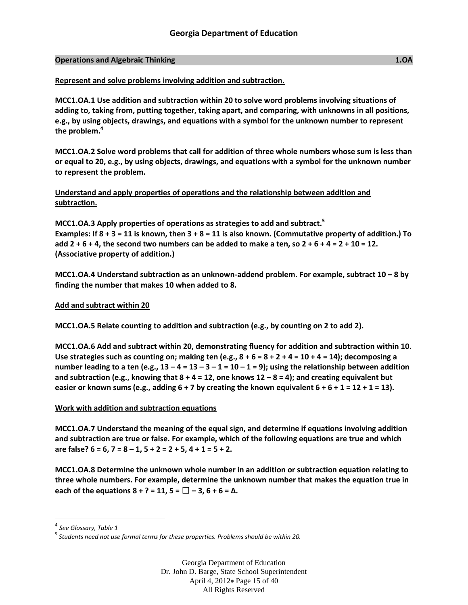#### **Operations and Algebraic Thinking 1.OA**

#### **Represent and solve problems involving addition and subtraction.**

**MCC1.OA.1 Use addition and subtraction within 20 to solve word problems involving situations of adding to, taking from, putting together, taking apart, and comparing, with unknowns in all positions, e.g., by using objects, drawings, and equations with a symbol for the unknown number to represent the problem.<sup>4</sup>**

**MCC1.OA.2 Solve word problems that call for addition of three whole numbers whose sum is less than or equal to 20, e.g., by using objects, drawings, and equations with a symbol for the unknown number to represent the problem.**

**Understand and apply properties of operations and the relationship between addition and subtraction.** 

**MCC1.OA.3 Apply properties of operations as strategies to add and subtract.<sup>5</sup> Examples: If 8 + 3 = 11 is known, then 3 + 8 = 11 is also known. (Commutative property of addition.) To add 2 + 6 + 4, the second two numbers can be added to make a ten, so 2 + 6 + 4 = 2 + 10 = 12. (Associative property of addition.)**

**MCC1.OA.4** Understand subtraction as an unknown-addend problem. For example, subtract 10 – 8 by **finding the number that makes 10 when added to 8.**

#### **Add and subtract within 20**

**MCC1.OA.5 Relate counting to addition and subtraction (e.g., by counting on 2 to add 2).**

**MCC1.OA.6 Add and subtract within 20, demonstrating fluency for addition and subtraction within 10. Use strategies such as counting on; making ten (e.g., 8 + 6 = 8 + 2 + 4 = 10 + 4 = 14); decomposing a number leading to a ten (e.g.,**  $13 - 4 = 13 - 3 - 1 = 10 - 1 = 9$ **); using the relationship between addition and subtraction (e.g., knowing that 8 + 4 = 12, one knows 12 – 8 = 4); and creating equivalent but**  easier or known sums (e.g., adding  $6 + 7$  by creating the known equivalent  $6 + 6 + 1 = 12 + 1 = 13$ ).

## **Work with addition and subtraction equations**

**MCC1.OA.7 Understand the meaning of the equal sign, and determine if equations involving addition and subtraction are true or false. For example, which of the following equations are true and which are false? 6 = 6, 7 = 8 – 1, 5 + 2 = 2 + 5, 4 + 1 = 5 + 2.**

**MCC1.OA.8 Determine the unknown whole number in an addition or subtraction equation relating to three whole numbers. For example, determine the unknown number that makes the equation true in each of the equations 8 + ? = 11, 5 =**  $\Box$  **− 3, 6 + 6 =**  $\Delta$ **.** 

 $\overline{\phantom{a}}$ 

Georgia Department of Education Dr. John D. Barge, State School Superintendent April 4, 2012 Page 15 of 40 All Rights Reserved

<sup>4</sup> *See Glossary, Table 1*

<sup>5</sup> *Students need not use formal terms for these properties. Problems should be within 20.*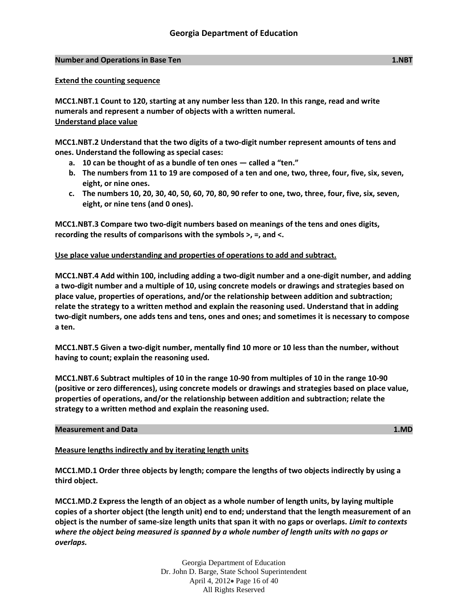## **Number and Operations in Base Ten 1.NBT**

**MCC1.NBT.1 Count to 120, starting at any number less than 120. In this range, read and write numerals and represent a number of objects with a written numeral. Understand place value**

**MCC1.NBT.2 Understand that the two digits of a two-digit number represent amounts of tens and ones. Understand the following as special cases:**

- **a. 10 can be thought of as a bundle of ten ones — called a "ten."**
- **b. The numbers from 11 to 19 are composed of a ten and one, two, three, four, five, six, seven, eight, or nine ones.**
- **c. The numbers 10, 20, 30, 40, 50, 60, 70, 80, 90 refer to one, two, three, four, five, six, seven, eight, or nine tens (and 0 ones).**

**MCC1.NBT.3 Compare two two-digit numbers based on meanings of the tens and ones digits, recording the results of comparisons with the symbols >, =, and <.**

## **Use place value understanding and properties of operations to add and subtract.**

**MCC1.NBT.4 Add within 100, including adding a two-digit number and a one-digit number, and adding a two-digit number and a multiple of 10, using concrete models or drawings and strategies based on place value, properties of operations, and/or the relationship between addition and subtraction; relate the strategy to a written method and explain the reasoning used. Understand that in adding two-digit numbers, one adds tens and tens, ones and ones; and sometimes it is necessary to compose a ten.**

**MCC1.NBT.5 Given a two-digit number, mentally find 10 more or 10 less than the number, without having to count; explain the reasoning used.**

**MCC1.NBT.6 Subtract multiples of 10 in the range 10-90 from multiples of 10 in the range 10-90 (positive or zero differences), using concrete models or drawings and strategies based on place value, properties of operations, and/or the relationship between addition and subtraction; relate the strategy to a written method and explain the reasoning used.**

## **Measurement and Data 1.MD**

## **Measure lengths indirectly and by iterating length units**

**MCC1.MD.1 Order three objects by length; compare the lengths of two objects indirectly by using a third object.**

**MCC1.MD.2 Express the length of an object as a whole number of length units, by laying multiple copies of a shorter object (the length unit) end to end; understand that the length measurement of an object is the number of same-size length units that span it with no gaps or overlaps.** *Limit to contexts where the object being measured is spanned by a whole number of length units with no gaps or overlaps.*

> Georgia Department of Education Dr. John D. Barge, State School Superintendent April 4, 2012 Page 16 of 40 All Rights Reserved